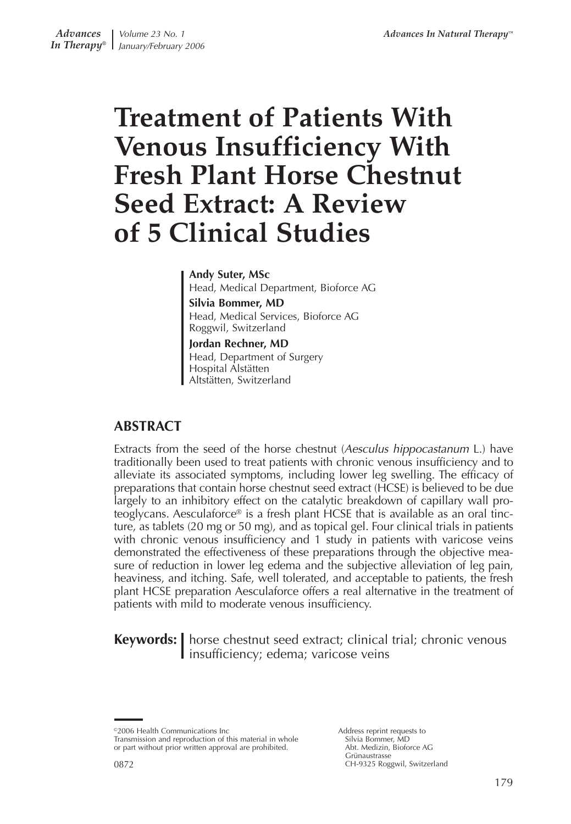# **Treatment of Patients With Venous Insufficiency With Fresh Plant Horse Chestnut Seed Extract: A Review of 5 Clinical Studies**

#### **Andy Suter, MSc**

Head, Medical Department, Bioforce AG **Silvia Bommer, MD** Head, Medical Services, Bioforce AG Roggwil, Switzerland

**Jordan Rechner, MD** Head, Department of Surgery Hospital Alstätten Altstätten, Switzerland

# **ABSTRACT**

Extracts from the seed of the horse chestnut (Aesculus hippocastanum L.) have traditionally been used to treat patients with chronic venous insufficiency and to alleviate its associated symptoms, including lower leg swelling. The efficacy of preparations that contain horse chestnut seed extract (HCSE) is believed to be due largely to an inhibitory effect on the catalytic breakdown of capillary wall proteoglycans. Aesculaforce® is a fresh plant HCSE that is available as an oral tincture, as tablets (20 mg or 50 mg), and as topical gel. Four clinical trials in patients with chronic venous insufficiency and 1 study in patients with varicose veins demonstrated the effectiveness of these preparations through the objective measure of reduction in lower leg edema and the subjective alleviation of leg pain, heaviness, and itching. Safe, well tolerated, and acceptable to patients, the fresh plant HCSE preparation Aesculaforce offers a real alternative in the treatment of patients with mild to moderate venous insufficiency.

**Keywords:** | horse chestnut seed extract; clinical trial; chronic venous I insufficiency; edema; varicose veins

©2006 Health Communications Inc

Transmission and reproduction of this material in whole or part without prior written approval are prohibited.

Address reprint requests to Silvia Bommer, MD Abt. Medizin, Bioforce AG Grünaustrasse CH-9325 Roggwil, Switzerland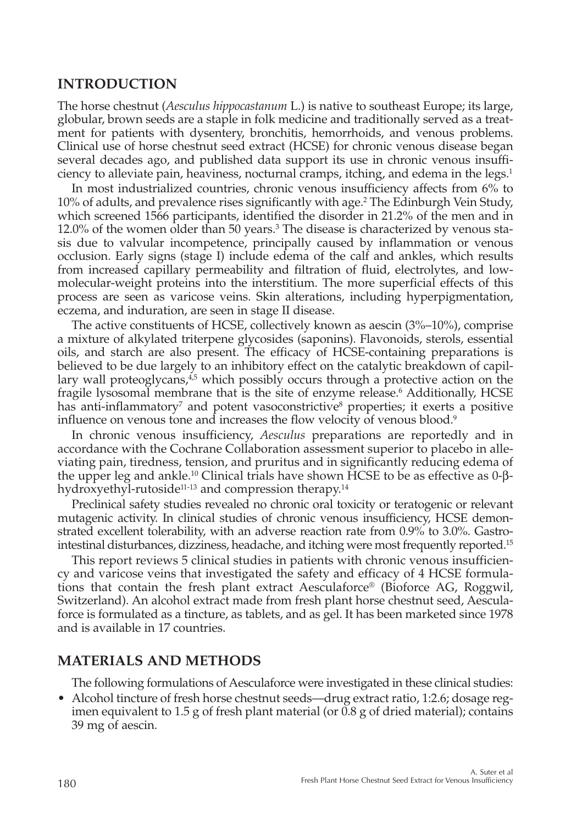### **INTRODUCTION**

The horse chestnut (*Aesculus hippocastanum* L.) is native to southeast Europe; its large, globular, brown seeds are a staple in folk medicine and traditionally served as a treatment for patients with dysentery, bronchitis, hemorrhoids, and venous problems. Clinical use of horse chestnut seed extract (HCSE) for chronic venous disease began several decades ago, and published data support its use in chronic venous insufficiency to alleviate pain, heaviness, nocturnal cramps, itching, and edema in the legs.<sup>1</sup>

In most industrialized countries, chronic venous insufficiency affects from 6% to 10% of adults, and prevalence rises significantly with age.2 The Edinburgh Vein Study, which screened 1566 participants, identified the disorder in 21.2% of the men and in 12.0% of the women older than 50 years.3 The disease is characterized by venous stasis due to valvular incompetence, principally caused by inflammation or venous occlusion. Early signs (stage I) include edema of the calf and ankles, which results from increased capillary permeability and filtration of fluid, electrolytes, and lowmolecular-weight proteins into the interstitium. The more superficial effects of this process are seen as varicose veins. Skin alterations, including hyperpigmentation, eczema, and induration, are seen in stage II disease.

The active constituents of HCSE, collectively known as aescin (3%–10%), comprise a mixture of alkylated triterpene glycosides (saponins). Flavonoids, sterols, essential oils, and starch are also present. The efficacy of HCSE-containing preparations is believed to be due largely to an inhibitory effect on the catalytic breakdown of capillary wall proteoglycans, $4.5$  which possibly occurs through a protective action on the fragile lysosomal membrane that is the site of enzyme release.<sup>6</sup> Additionally, HCSE has anti-inflammatory<sup>7</sup> and potent vasoconstrictive<sup>8</sup> properties; it exerts a positive influence on venous tone and increases the flow velocity of venous blood.<sup>9</sup>

In chronic venous insufficiency, *Aesculus* preparations are reportedly and in accordance with the Cochrane Collaboration assessment superior to placebo in alleviating pain, tiredness, tension, and pruritus and in significantly reducing edema of the upper leg and ankle.<sup>10</sup> Clinical trials have shown HCSE to be as effective as 0-βhydroxyethyl-rutoside<sup>11-13</sup> and compression therapy.<sup>14</sup>

Preclinical safety studies revealed no chronic oral toxicity or teratogenic or relevant mutagenic activity. In clinical studies of chronic venous insufficiency, HCSE demonstrated excellent tolerability, with an adverse reaction rate from 0.9% to 3.0%. Gastrointestinal disturbances, dizziness, headache, and itching were most frequently reported.15

This report reviews 5 clinical studies in patients with chronic venous insufficiency and varicose veins that investigated the safety and efficacy of 4 HCSE formulations that contain the fresh plant extract Aesculaforce® (Bioforce AG, Roggwil, Switzerland). An alcohol extract made from fresh plant horse chestnut seed, Aesculaforce is formulated as a tincture, as tablets, and as gel. It has been marketed since 1978 and is available in 17 countries.

#### **MATERIALS AND METHODS**

The following formulations of Aesculaforce were investigated in these clinical studies:

• Alcohol tincture of fresh horse chestnut seeds—drug extract ratio, 1:2.6; dosage regimen equivalent to 1.5 g of fresh plant material (or 0.8 g of dried material); contains 39 mg of aescin.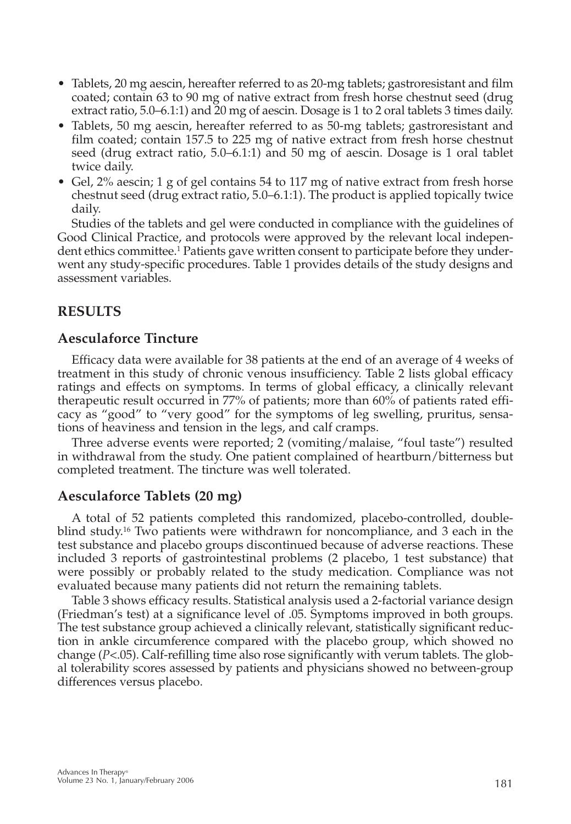- Tablets, 20 mg aescin, hereafter referred to as 20-mg tablets; gastroresistant and film coated; contain 63 to 90 mg of native extract from fresh horse chestnut seed (drug extract ratio, 5.0–6.1:1) and 20 mg of aescin. Dosage is 1 to 2 oral tablets 3 times daily.
- Tablets, 50 mg aescin, hereafter referred to as 50-mg tablets; gastroresistant and film coated; contain 157.5 to 225 mg of native extract from fresh horse chestnut seed (drug extract ratio, 5.0–6.1:1) and 50 mg of aescin. Dosage is 1 oral tablet twice daily.
- Gel, 2% aescin; 1 g of gel contains 54 to 117 mg of native extract from fresh horse chestnut seed (drug extract ratio, 5.0–6.1:1). The product is applied topically twice daily.

Studies of the tablets and gel were conducted in compliance with the guidelines of Good Clinical Practice, and protocols were approved by the relevant local independent ethics committee.1 Patients gave written consent to participate before they underwent any study-specific procedures. Table 1 provides details of the study designs and assessment variables.

# **RESULTS**

## **Aesculaforce Tincture**

Efficacy data were available for 38 patients at the end of an average of 4 weeks of treatment in this study of chronic venous insufficiency. Table 2 lists global efficacy ratings and effects on symptoms. In terms of global efficacy, a clinically relevant therapeutic result occurred in 77% of patients; more than 60% of patients rated efficacy as "good" to "very good" for the symptoms of leg swelling, pruritus, sensations of heaviness and tension in the legs, and calf cramps.

Three adverse events were reported; 2 (vomiting/malaise, "foul taste") resulted in withdrawal from the study. One patient complained of heartburn/bitterness but completed treatment. The tincture was well tolerated.

## **Aesculaforce Tablets (20 mg)**

A total of 52 patients completed this randomized, placebo-controlled, doubleblind study.<sup>16</sup> Two patients were withdrawn for noncompliance, and 3 each in the test substance and placebo groups discontinued because of adverse reactions. These included 3 reports of gastrointestinal problems (2 placebo, 1 test substance) that were possibly or probably related to the study medication. Compliance was not evaluated because many patients did not return the remaining tablets.

Table 3 shows efficacy results. Statistical analysis used a 2-factorial variance design (Friedman's test) at a significance level of .05. Symptoms improved in both groups. The test substance group achieved a clinically relevant, statistically significant reduction in ankle circumference compared with the placebo group, which showed no change (*P*<.05). Calf-refilling time also rose significantly with verum tablets. The global tolerability scores assessed by patients and physicians showed no between-group differences versus placebo.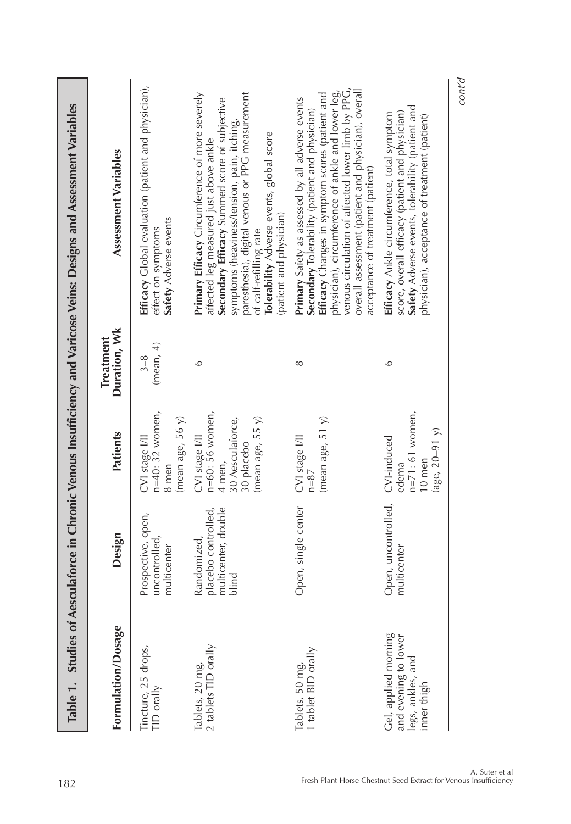|                                                                                  |                                                                    |                                                                                                      |                                  | Table 1. Studies of Aesculatorce in Chronic Venous Insufficiency and Varicose Veins: Designs and Assessment Variables                                                                                                                                                                                                                                                     |
|----------------------------------------------------------------------------------|--------------------------------------------------------------------|------------------------------------------------------------------------------------------------------|----------------------------------|---------------------------------------------------------------------------------------------------------------------------------------------------------------------------------------------------------------------------------------------------------------------------------------------------------------------------------------------------------------------------|
| Formulation/Dosage                                                               | Design                                                             | Patients                                                                                             | Duration, Wk<br><b>Treatment</b> | Assessment Variables                                                                                                                                                                                                                                                                                                                                                      |
| Tincture, 25 drops,<br>TID orally                                                | Prospective, open,<br>uncontrolled,<br>multicenter                 | $n=40:32$ women,<br>(mean age, $56 y$ )<br>CVI stage I/II<br>8 men                                   | (mean, 4)<br>$3 - 8$             | Efficacy Global evaluation (patient and physician),<br>Safety Adverse events<br>effect on symptoms                                                                                                                                                                                                                                                                        |
| Tablets, 20 mg,<br>2 tablets TID orally                                          | multicenter, double<br>placebo controlled,<br>Randomized,<br>blind | n=60: 56 women,<br>30 Aesculaforce,<br>(mean age, $55 y$ )<br>CVI stage I/II<br>30 placebo<br>4 men, | $\circ$                          | Primary Efficacy Circumference of more severely<br>paresthesia), digital venous or PPG measurement<br>Secondary Efficacy Summed score of subjective<br>symptoms (heaviness/tension, pain, itching,<br><b>Tolerability Adverse events, global score</b><br>affected leg measured just above ankle<br>(patient and physician)<br>of calf-refilling rate                     |
| Tablets, 50 mg,<br>1 tablet BID orally                                           | Open, single center                                                | (mean age, $51$ $y$ )<br>CVI stage I/II<br>$n = 87$                                                  | $\infty$                         | venous circulation of affected lower limb by PPG,<br>overall assessment (patient and physician), overall<br>physician), circumference of ankle and lower leg,<br><b>Efficacy</b> Changes in symptom scores (patient and<br>Primary Safety as assessed by all adverse events<br><b>Secondary</b> Tolerability (patient and physician)<br>acceptance of treatment (patient) |
| Gel, applied morning<br>and evening to lower<br>legs, ankles, and<br>inner thigh | Open, uncontrolled,<br>multicenter                                 | $n=71:61$ women,<br>$(age, 20-91)$<br>CVI-induced<br>10 men<br>edema                                 | $\circ$                          | Safety Adverse events, tolerability (patient and<br>score, overall efficacy (patient and physician)<br>Efficacy Ankle circumference, total symptom<br>physician), acceptance of treatment (patient)                                                                                                                                                                       |
|                                                                                  |                                                                    |                                                                                                      |                                  | cont'd                                                                                                                                                                                                                                                                                                                                                                    |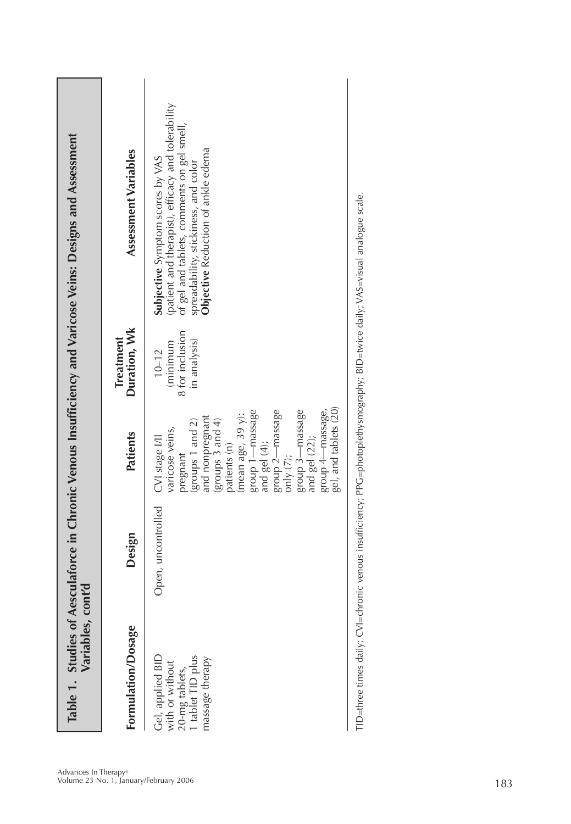| (patient and therapist), efficacy and tolerability<br>of gel and tablets, comments on gel smell,<br><b>Objective</b> Reduction of ankle edema<br>Assessment Variables<br>Subjective Symptom scores by VAS<br>spreadability, stickiness, and color<br>Duration, Wk<br>8 for inclusion<br><b>Treatment</b><br>in analysis)<br>(minimum<br>$10 - 12$<br>group 2-massage<br>group 3-massage<br>group 1-massage<br>(mean age, 39 y):<br>and nonpregnant<br>(groups 3 and 4)<br>(groups 1 and 2)<br>varicose veins,<br>Patients<br>CVI stage I/II<br>patients (n)<br>and gel (4);<br>pregnant<br>only $(7)$ ;<br>Open, uncontrolled<br>Design<br>Formulation/Dosage<br>Gel, applied BID<br>with or without<br>20-mg tablets,<br>1 tablet TID plus<br>massage therapy |  |  |
|----------------------------------------------------------------------------------------------------------------------------------------------------------------------------------------------------------------------------------------------------------------------------------------------------------------------------------------------------------------------------------------------------------------------------------------------------------------------------------------------------------------------------------------------------------------------------------------------------------------------------------------------------------------------------------------------------------------------------------------------------------------|--|--|
|----------------------------------------------------------------------------------------------------------------------------------------------------------------------------------------------------------------------------------------------------------------------------------------------------------------------------------------------------------------------------------------------------------------------------------------------------------------------------------------------------------------------------------------------------------------------------------------------------------------------------------------------------------------------------------------------------------------------------------------------------------------|--|--|

-Biree times dimissivy; VAS=Vidity; Vidity; Vidity; Vidity, Vidity, Vidity, Vidity, Vidity, Vidity; Vidity; Vidity; Vidity; Vidity; Vidity; Vidity; Vidity; Vidity; Vidity; Vidity; Vidity; Vidity; Vidity; Vidity; Vidity; Vi TID=three times daily; CVI=chronic venous insufficiency; PPG=photoplethysmography; BID=twice daily; VAS=visual analogue scale.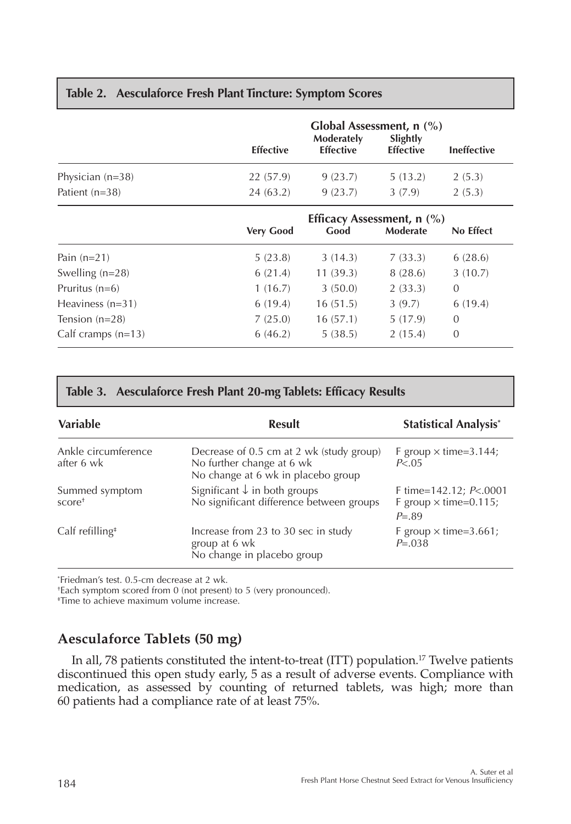|                    | <b>Effective</b> | Global Assessment, $n$ (%)<br>Moderately<br><b>Effective</b> | Slightly<br><b>Effective</b> | <b>Ineffective</b> |
|--------------------|------------------|--------------------------------------------------------------|------------------------------|--------------------|
| Physician $(n=38)$ | 22 (57.9)        | 9(23.7)                                                      | 5(13.2)                      | 2(5.3)             |
| Patient $(n=38)$   | 24(63.2)         | 9(23.7)                                                      | 3(7.9)                       | 2(5.3)             |

#### **Table 2. Aesculaforce Fresh Plant Tincture: Symptom Scores**

| Efficacy Assessment, $n$ (%) |          |                 |                |
|------------------------------|----------|-----------------|----------------|
| <b>Very Good</b>             | Good     | <b>Moderate</b> | No Effect      |
| 5(23.8)                      | 3(14.3)  | 7(33.3)         | 6(28.6)        |
| 6(21.4)                      | 11(39.3) | 8(28.6)         | 3(10.7)        |
| 1(16.7)                      | 3(50.0)  | 2(33.3)         | 0              |
| 6(19.4)                      | 16(51.5) | 3(9.7)          | 6(19.4)        |
| 7(25.0)                      | 16(57.1) | 5(17.9)         | $\overline{0}$ |
| 6(46.2)                      | 5(38.5)  | 2(15.4)         | 0              |
|                              |          |                 |                |

# **Table 3. Aesculaforce Fresh Plant 20-mg Tablets: Efficacy Results**

| <b>Variable</b>                                   | <b>Result</b>                                                                                               | <b>Statistical Analysis*</b>                                          |
|---------------------------------------------------|-------------------------------------------------------------------------------------------------------------|-----------------------------------------------------------------------|
| Ankle circumference<br>after 6 wk                 | Decrease of 0.5 cm at 2 wk (study group)<br>No further change at 6 wk<br>No change at 6 wk in placebo group | F group $\times$ time=3.144;<br>P < 0.05                              |
| Summed symptom<br>$score+$                        | Significant $\downarrow$ in both groups<br>No significant difference between groups                         | F time=142.12; $P<.0001$<br>F group $\times$ time=0.115;<br>$P = .89$ |
| $Calf$ refilling <sup><math>\ddagger</math></sup> | Increase from 23 to 30 sec in study<br>group at 6 wk<br>No change in placebo group                          | F group $\times$ time=3.661;<br>$P = 0.038$                           |

\* Friedman's test. 0.5-cm decrease at 2 wk.

† Each symptom scored from 0 (not present) to 5 (very pronounced).

‡ Time to achieve maximum volume increase.

# **Aesculaforce Tablets (50 mg)**

In all, 78 patients constituted the intent-to-treat (ITT) population.<sup>17</sup> Twelve patients discontinued this open study early, 5 as a result of adverse events. Compliance with medication, as assessed by counting of returned tablets, was high; more than 60 patients had a compliance rate of at least 75%.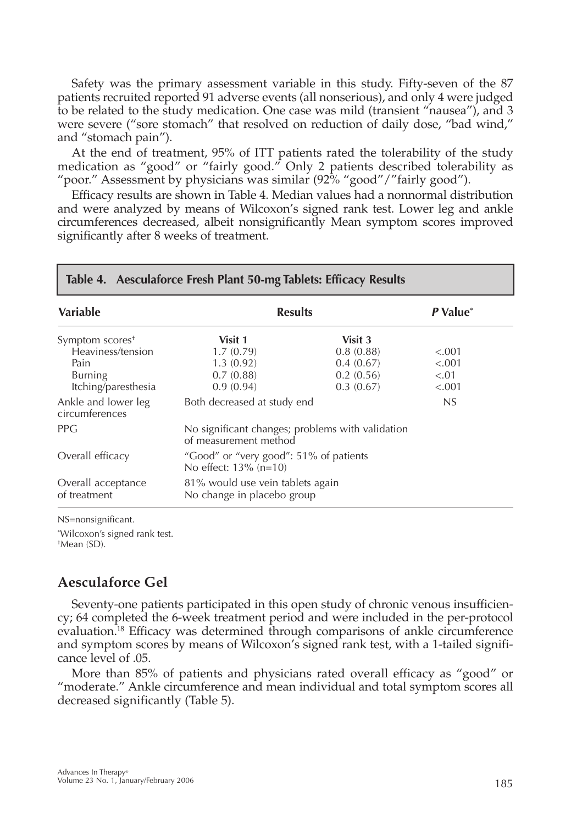Safety was the primary assessment variable in this study. Fifty-seven of the 87 patients recruited reported 91 adverse events (all nonserious), and only 4 were judged to be related to the study medication. One case was mild (transient "nausea"), and 3 were severe ("sore stomach" that resolved on reduction of daily dose, "bad wind," and "stomach pain").

At the end of treatment, 95% of ITT patients rated the tolerability of the study medication as "good" or "fairly good." Only 2 patients described tolerability as "poor." Assessment by physicians was similar (92% "good"/"fairly good").

Efficacy results are shown in Table 4. Median values had a nonnormal distribution and were analyzed by means of Wilcoxon's signed rank test. Lower leg and ankle circumferences decreased, albeit nonsignificantly Mean symptom scores improved significantly after 8 weeks of treatment.

| <b>Variable</b>                       | <b>Results</b>                                                            | P Value <sup>*</sup> |         |
|---------------------------------------|---------------------------------------------------------------------------|----------------------|---------|
| Symptom scores <sup>+</sup>           | Visit 1                                                                   | Visit 3              |         |
| Heaviness/tension                     | 1.7(0.79)                                                                 | 0.8(0.88)            | < 0.001 |
| Pain                                  | 1.3(0.92)                                                                 | 0.4(0.67)            | < .001  |
| <b>Burning</b>                        | 0.7(0.88)                                                                 | 0.2(0.56)            | < 0.01  |
| Itching/paresthesia                   | 0.9(0.94)                                                                 | 0.3(0.67)            | < .001  |
| Ankle and lower leg<br>circumferences | Both decreased at study end                                               | NS                   |         |
| <b>PPG</b>                            | No significant changes; problems with validation<br>of measurement method |                      |         |
| Overall efficacy                      | "Good" or "very good": 51% of patients<br>No effect: $13\%$ (n=10)        |                      |         |
| Overall acceptance<br>of treatment    | 81% would use vein tablets again<br>No change in placebo group            |                      |         |

#### **Table 4. Aesculaforce Fresh Plant 50-mg Tablets: Efficacy Results**

NS=nonsignificant.

\* Wilcoxon's signed rank test. † Mean (SD).

## **Aesculaforce Gel**

Seventy-one patients participated in this open study of chronic venous insufficiency; 64 completed the 6-week treatment period and were included in the per-protocol evaluation.18 Efficacy was determined through comparisons of ankle circumference and symptom scores by means of Wilcoxon's signed rank test, with a 1-tailed significance level of .05.

More than 85% of patients and physicians rated overall efficacy as "good" or "moderate." Ankle circumference and mean individual and total symptom scores all decreased significantly (Table 5).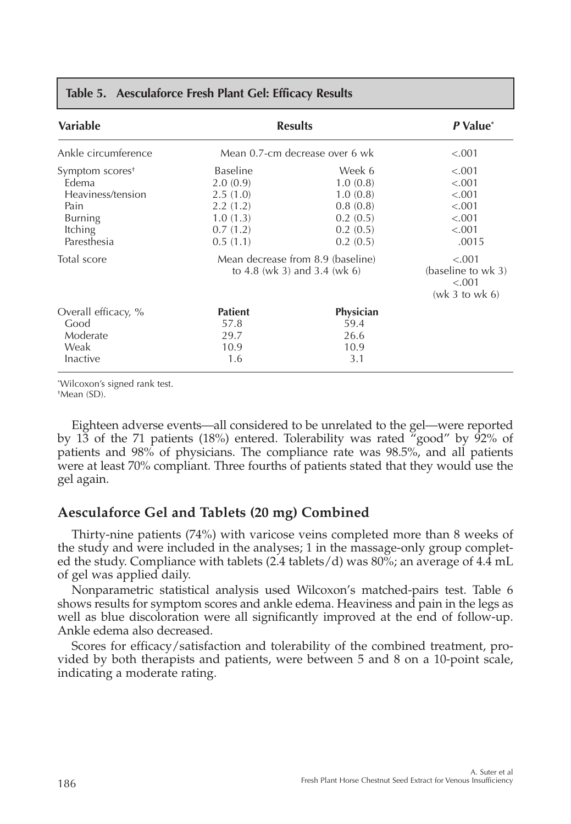| Variable                                                                                                      |                                                                                         | <b>Results</b>                                                                 | P Value <sup>*</sup>                                              |
|---------------------------------------------------------------------------------------------------------------|-----------------------------------------------------------------------------------------|--------------------------------------------------------------------------------|-------------------------------------------------------------------|
| Ankle circumference                                                                                           |                                                                                         | Mean 0.7-cm decrease over 6 wk                                                 | < .001                                                            |
| Symptom scores <sup>+</sup><br>Edema<br>Heaviness/tension<br>Pain<br><b>Burning</b><br>Itching<br>Paresthesia | <b>Baseline</b><br>2.0(0.9)<br>2.5(1.0)<br>2.2(1.2)<br>1.0(1.3)<br>0.7(1.2)<br>0.5(1.1) | Week 6<br>1.0(0.8)<br>1.0(0.8)<br>0.8(0.8)<br>0.2(0.5)<br>0.2(0.5)<br>0.2(0.5) | < .001<br>< .001<br>< .001<br>< .001<br>< .001<br>< .001<br>.0015 |
| Total score                                                                                                   |                                                                                         | Mean decrease from 8.9 (baseline)<br>to 4.8 (wk 3) and 3.4 (wk 6)              | < .001<br>(baseline to wk 3)<br>< .001<br>(wk 3 to wk 6)          |
| Overall efficacy, %<br>Good<br>Moderate<br>Weak<br>Inactive                                                   | <b>Patient</b><br>57.8<br>29.7<br>10.9<br>1.6                                           | Physician<br>59.4<br>26.6<br>10.9<br>3.1                                       |                                                                   |

#### **Table 5. Aesculaforce Fresh Plant Gel: Efficacy Results**

\* Wilcoxon's signed rank test.

† Mean (SD).

Eighteen adverse events—all considered to be unrelated to the gel—were reported by 13 of the 71 patients (18%) entered. Tolerability was rated "good" by 92% of patients and 98% of physicians. The compliance rate was 98.5%, and all patients were at least 70% compliant. Three fourths of patients stated that they would use the gel again.

# **Aesculaforce Gel and Tablets (20 mg) Combined**

Thirty-nine patients (74%) with varicose veins completed more than 8 weeks of the study and were included in the analyses; 1 in the massage-only group completed the study. Compliance with tablets (2.4 tablets/d) was 80%; an average of 4.4 mL of gel was applied daily.

Nonparametric statistical analysis used Wilcoxon's matched-pairs test. Table 6 shows results for symptom scores and ankle edema. Heaviness and pain in the legs as well as blue discoloration were all significantly improved at the end of follow-up. Ankle edema also decreased.

Scores for efficacy/satisfaction and tolerability of the combined treatment, provided by both therapists and patients, were between 5 and 8 on a 10-point scale, indicating a moderate rating.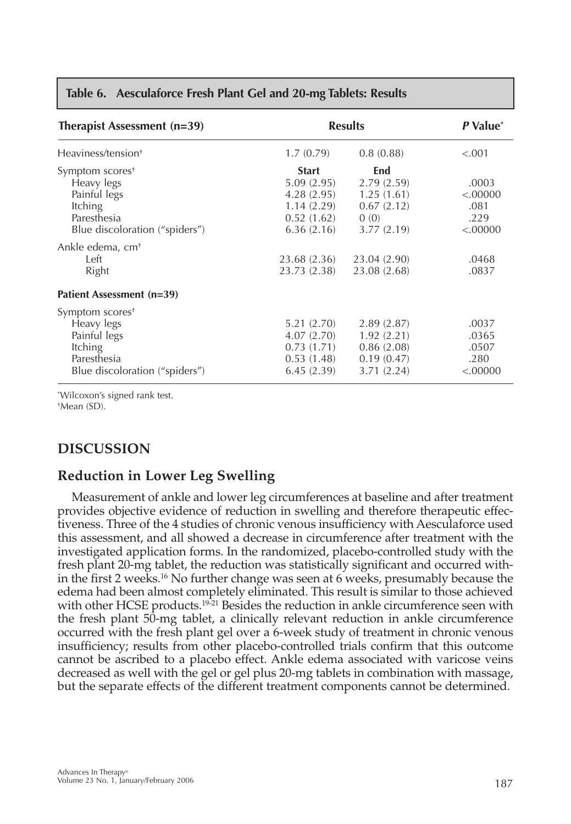| Therapist Assessment $(n=39)$                                                                                                |                                                                                    | <b>Results</b>                                                      | P Value <sup>*</sup>                         |
|------------------------------------------------------------------------------------------------------------------------------|------------------------------------------------------------------------------------|---------------------------------------------------------------------|----------------------------------------------|
| Heaviness/tension <sup>+</sup>                                                                                               | 1.7(0.79)                                                                          | 0.8(0.88)                                                           | < .001                                       |
| Symptom scores <sup>+</sup><br>Heavy legs<br>Painful legs<br><b>Itching</b><br>Paresthesia<br>Blue discoloration ("spiders") | <b>Start</b><br>5.09(2.95)<br>4.28(2.95)<br>1.14(2.29)<br>0.52(1.62)<br>6.36(2.16) | End<br>2.79(2.59)<br>1.25(1.61)<br>0.67(2.12)<br>0(0)<br>3.77(2.19) | .0003<br>< .00000<br>.081<br>.229<br>< 00000 |
| Ankle edema, cm <sup>+</sup><br>Left<br>Right                                                                                | 23.68 (2.36)<br>23.73 (2.38)                                                       | 23.04 (2.90)<br>23.08 (2.68)                                        | .0468<br>.0837                               |
| Patient Assessment (n=39)                                                                                                    |                                                                                    |                                                                     |                                              |
| Symptom scores <sup>+</sup><br>Heavy legs<br>Painful legs<br><b>Itching</b><br>Paresthesia<br>Blue discoloration ("spiders") | 5.21(2.70)<br>4.07(2.70)<br>0.73(1.71)<br>0.53(1.48)<br>6.45(2.39)                 | 2.89(2.87)<br>1.92(2.21)<br>0.86(2.08)<br>0.19(0.47)<br>3.71(2.24)  | .0037<br>.0365<br>.0507<br>.280<br>< .00000  |

#### **Table 6. Aesculaforce Fresh Plant Gel and 20-mg Tablets: Results**

\* Wilcoxon's signed rank test. † Mean (SD).

# **DISCUSSION**

# **Reduction in Lower Leg Swelling**

Measurement of ankle and lower leg circumferences at baseline and after treatment provides objective evidence of reduction in swelling and therefore therapeutic effectiveness. Three of the 4 studies of chronic venous insufficiency with Aesculaforce used this assessment, and all showed a decrease in circumference after treatment with the investigated application forms. In the randomized, placebo-controlled study with the fresh plant 20-mg tablet, the reduction was statistically significant and occurred within the first 2 weeks.<sup>16</sup> No further change was seen at 6 weeks, presumably because the edema had been almost completely eliminated. This result is similar to those achieved with other HCSE products.<sup>19-21</sup> Besides the reduction in ankle circumference seen with the fresh plant 50-mg tablet, a clinically relevant reduction in ankle circumference occurred with the fresh plant gel over a 6-week study of treatment in chronic venous insufficiency; results from other placebo-controlled trials confirm that this outcome cannot be ascribed to a placebo effect. Ankle edema associated with varicose veins decreased as well with the gel or gel plus 20-mg tablets in combination with massage, but the separate effects of the different treatment components cannot be determined.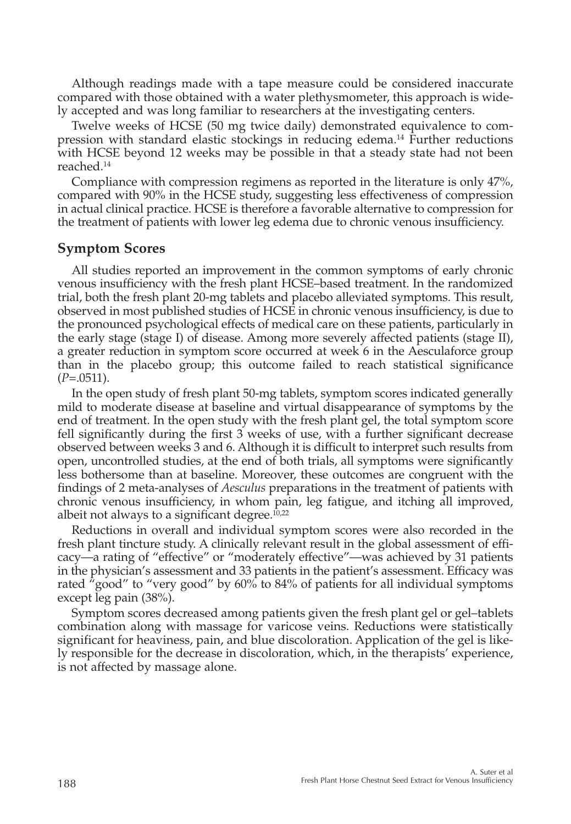Although readings made with a tape measure could be considered inaccurate compared with those obtained with a water plethysmometer, this approach is widely accepted and was long familiar to researchers at the investigating centers.

Twelve weeks of HCSE (50 mg twice daily) demonstrated equivalence to compression with standard elastic stockings in reducing edema.14 Further reductions with HCSE beyond 12 weeks may be possible in that a steady state had not been reached.14

Compliance with compression regimens as reported in the literature is only 47%, compared with 90% in the HCSE study, suggesting less effectiveness of compression in actual clinical practice. HCSE is therefore a favorable alternative to compression for the treatment of patients with lower leg edema due to chronic venous insufficiency.

#### **Symptom Scores**

All studies reported an improvement in the common symptoms of early chronic venous insufficiency with the fresh plant HCSE–based treatment. In the randomized trial, both the fresh plant 20-mg tablets and placebo alleviated symptoms. This result, observed in most published studies of HCSE in chronic venous insufficiency, is due to the pronounced psychological effects of medical care on these patients, particularly in the early stage (stage I) of disease. Among more severely affected patients (stage II), a greater reduction in symptom score occurred at week 6 in the Aesculaforce group than in the placebo group; this outcome failed to reach statistical significance (*P*=.0511).

In the open study of fresh plant 50-mg tablets, symptom scores indicated generally mild to moderate disease at baseline and virtual disappearance of symptoms by the end of treatment. In the open study with the fresh plant gel, the total symptom score fell significantly during the first 3 weeks of use, with a further significant decrease observed between weeks 3 and 6. Although it is difficult to interpret such results from open, uncontrolled studies, at the end of both trials, all symptoms were significantly less bothersome than at baseline. Moreover, these outcomes are congruent with the findings of 2 meta-analyses of *Aesculus* preparations in the treatment of patients with chronic venous insufficiency, in whom pain, leg fatigue, and itching all improved, albeit not always to a significant degree. $10,22$ 

Reductions in overall and individual symptom scores were also recorded in the fresh plant tincture study. A clinically relevant result in the global assessment of efficacy—a rating of "effective" or "moderately effective"—was achieved by 31 patients in the physician's assessment and 33 patients in the patient's assessment. Efficacy was rated "good" to "very good" by 60% to 84% of patients for all individual symptoms except leg pain (38%).

Symptom scores decreased among patients given the fresh plant gel or gel–tablets combination along with massage for varicose veins. Reductions were statistically significant for heaviness, pain, and blue discoloration. Application of the gel is likely responsible for the decrease in discoloration, which, in the therapists' experience, is not affected by massage alone.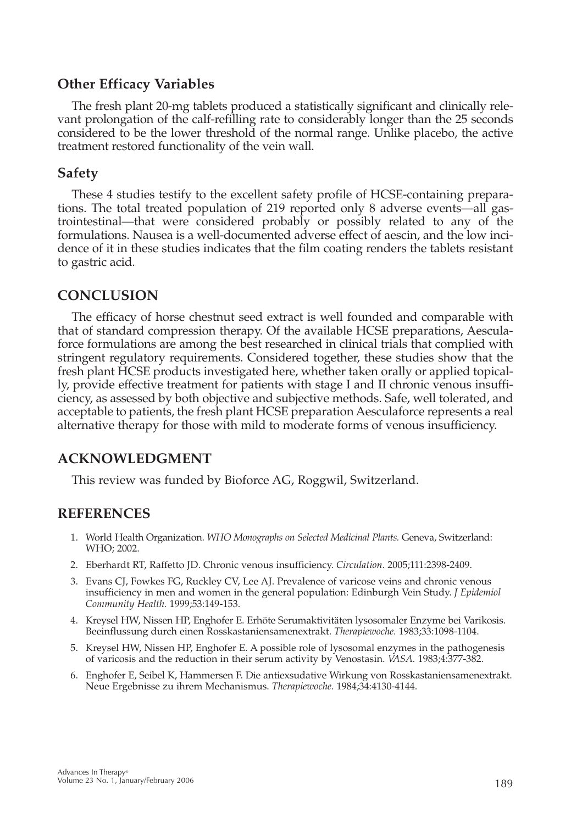# **Other Efficacy Variables**

The fresh plant 20-mg tablets produced a statistically significant and clinically relevant prolongation of the calf-refilling rate to considerably longer than the 25 seconds considered to be the lower threshold of the normal range. Unlike placebo, the active treatment restored functionality of the vein wall.

## **Safety**

These 4 studies testify to the excellent safety profile of HCSE-containing preparations. The total treated population of 219 reported only 8 adverse events—all gastrointestinal—that were considered probably or possibly related to any of the formulations. Nausea is a well-documented adverse effect of aescin, and the low incidence of it in these studies indicates that the film coating renders the tablets resistant to gastric acid.

# **CONCLUSION**

The efficacy of horse chestnut seed extract is well founded and comparable with that of standard compression therapy. Of the available HCSE preparations, Aesculaforce formulations are among the best researched in clinical trials that complied with stringent regulatory requirements. Considered together, these studies show that the fresh plant HCSE products investigated here, whether taken orally or applied topically, provide effective treatment for patients with stage I and II chronic venous insufficiency, as assessed by both objective and subjective methods. Safe, well tolerated, and acceptable to patients, the fresh plant HCSE preparation Aesculaforce represents a real alternative therapy for those with mild to moderate forms of venous insufficiency.

# **ACKNOWLEDGMENT**

This review was funded by Bioforce AG, Roggwil, Switzerland.

# **REFERENCES**

- 1. World Health Organization. *WHO Monographs on Selected Medicinal Plants.* Geneva, Switzerland: WHO; 2002.
- 2. Eberhardt RT, Raffetto JD. Chronic venous insufficiency. *Circulation.* 2005;111:2398-2409.
- 3. Evans CJ, Fowkes FG, Ruckley CV, Lee AJ. Prevalence of varicose veins and chronic venous insufficiency in men and women in the general population: Edinburgh Vein Study. *J Epidemiol Community Health.* 1999;53:149-153.
- 4. Kreysel HW, Nissen HP, Enghofer E. Erhöte Serumaktivitäten lysosomaler Enzyme bei Varikosis. Beeinflussung durch einen Rosskastaniensamenextrakt. *Therapiewoche.* 1983;33:1098-1104.
- 5. Kreysel HW, Nissen HP, Enghofer E. A possible role of lysosomal enzymes in the pathogenesis of varicosis and the reduction in their serum activity by Venostasin. *VASA.* 1983;4:377-382.
- 6. Enghofer E, Seibel K, Hammersen F. Die antiexsudative Wirkung von Rosskastaniensamenextrakt. Neue Ergebnisse zu ihrem Mechanismus. *Therapiewoche.* 1984;34:4130-4144.